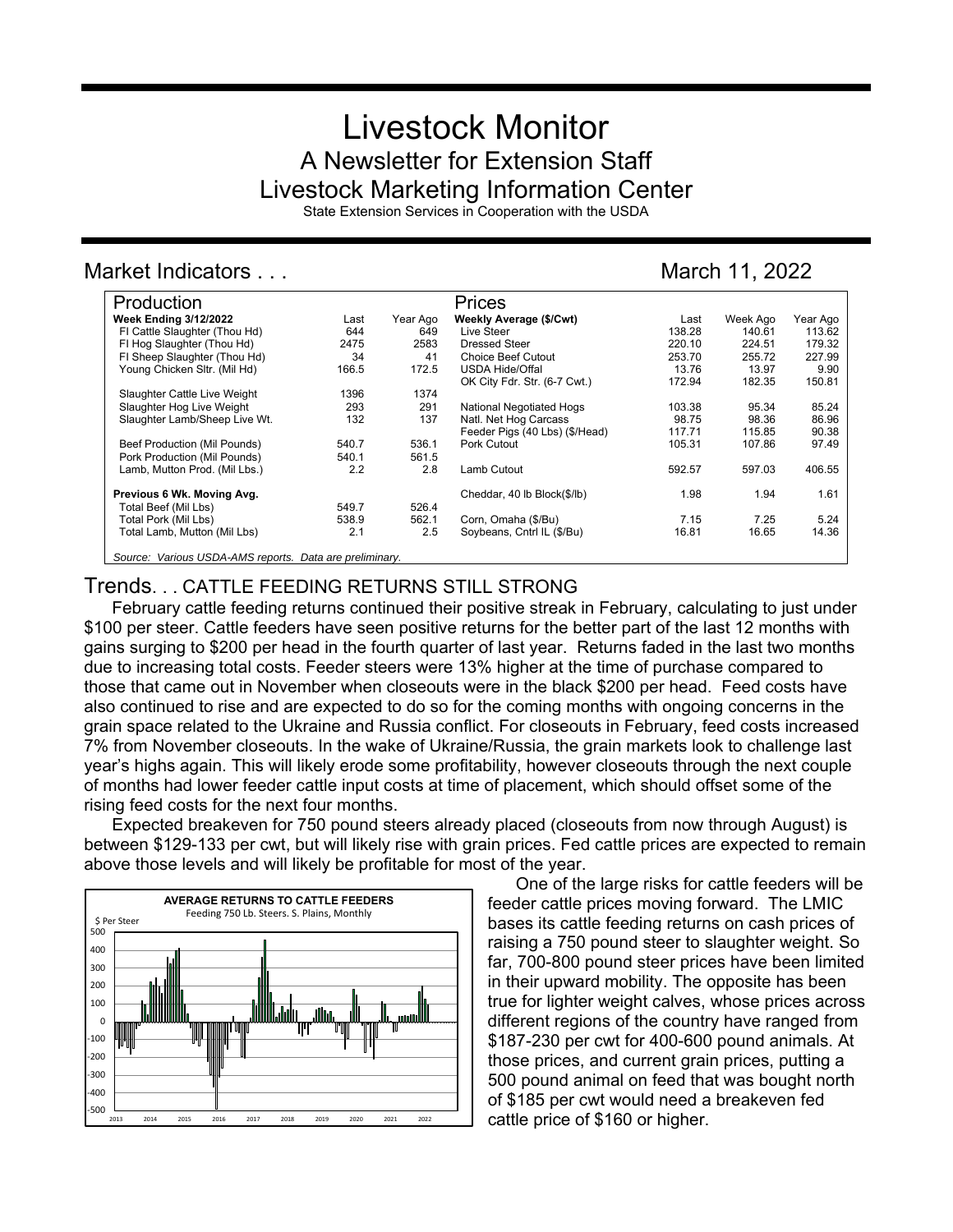# Livestock Monitor A Newsletter for Extension Staff Livestock Marketing Information Center

State Extension Services in Cooperation with the USDA

## Market Indicators . . . Contract in the March 11, 2022

| Production                                              |       |          | Prices                          |        |          |          |
|---------------------------------------------------------|-------|----------|---------------------------------|--------|----------|----------|
| <b>Week Ending 3/12/2022</b>                            | Last  | Year Ago | Weekly Average (\$/Cwt)         | Last   | Week Ago | Year Ago |
| FI Cattle Slaughter (Thou Hd)                           | 644   | 649      | Live Steer                      | 138.28 | 140.61   | 113.62   |
| FI Hog Slaughter (Thou Hd)                              | 2475  | 2583     | Dressed Steer                   | 220.10 | 224.51   | 179.32   |
| FI Sheep Slaughter (Thou Hd)                            | 34    | 41       | <b>Choice Beef Cutout</b>       | 253.70 | 255.72   | 227.99   |
| Young Chicken Sltr. (Mil Hd)                            | 166.5 | 172.5    | <b>USDA Hide/Offal</b>          | 13.76  | 13.97    | 9.90     |
|                                                         |       |          | OK City Fdr. Str. (6-7 Cwt.)    | 172.94 | 182.35   | 150.81   |
| Slaughter Cattle Live Weight                            | 1396  | 1374     |                                 |        |          |          |
| Slaughter Hog Live Weight                               | 293   | 291      | <b>National Negotiated Hogs</b> | 103.38 | 95.34    | 85.24    |
| Slaughter Lamb/Sheep Live Wt.                           | 132   | 137      | Natl. Net Hog Carcass           | 98.75  | 98.36    | 86.96    |
|                                                         |       |          | Feeder Pigs (40 Lbs) (\$/Head)  | 117.71 | 115.85   | 90.38    |
| Beef Production (Mil Pounds)                            | 540.7 | 536.1    | Pork Cutout                     | 105.31 | 107.86   | 97.49    |
| Pork Production (Mil Pounds)                            | 540.1 | 561.5    |                                 |        |          |          |
| Lamb, Mutton Prod. (Mil Lbs.)                           | 2.2   | 2.8      | Lamb Cutout                     | 592.57 | 597.03   | 406.55   |
| Previous 6 Wk. Moving Avg.                              |       |          | Cheddar, 40 lb Block(\$/lb)     | 1.98   | 1.94     | 1.61     |
| Total Beef (Mil Lbs)                                    | 549.7 | 526.4    |                                 |        |          |          |
| Total Pork (Mil Lbs)                                    | 538.9 | 562.1    | Corn, Omaha (\$/Bu)             | 7.15   | 7.25     | 5.24     |
| Total Lamb, Mutton (Mil Lbs)                            | 2.1   | 2.5      | Soybeans, Cntrl IL (\$/Bu)      | 16.81  | 16.65    | 14.36    |
| Source: Various USDA-AMS reports. Data are preliminary. |       |          |                                 |        |          |          |

## Trends. . . CATTLE FEEDING RETURNS STILL STRONG

February cattle feeding returns continued their positive streak in February, calculating to just under \$100 per steer. Cattle feeders have seen positive returns for the better part of the last 12 months with gains surging to \$200 per head in the fourth quarter of last year. Returns faded in the last two months due to increasing total costs. Feeder steers were 13% higher at the time of purchase compared to those that came out in November when closeouts were in the black \$200 per head. Feed costs have also continued to rise and are expected to do so for the coming months with ongoing concerns in the grain space related to the Ukraine and Russia conflict. For closeouts in February, feed costs increased 7% from November closeouts. In the wake of Ukraine/Russia, the grain markets look to challenge last year's highs again. This will likely erode some profitability, however closeouts through the next couple of months had lower feeder cattle input costs at time of placement, which should offset some of the rising feed costs for the next four months.

Expected breakeven for 750 pound steers already placed (closeouts from now through August) is between \$129-133 per cwt, but will likely rise with grain prices. Fed cattle prices are expected to remain above those levels and will likely be profitable for most of the year.



One of the large risks for cattle feeders will be feeder cattle prices moving forward. The LMIC bases its cattle feeding returns on cash prices of raising a 750 pound steer to slaughter weight. So far, 700-800 pound steer prices have been limited in their upward mobility. The opposite has been true for lighter weight calves, whose prices across different regions of the country have ranged from \$187-230 per cwt for 400-600 pound animals. At those prices, and current grain prices, putting a 500 pound animal on feed that was bought north of \$185 per cwt would need a breakeven fed cattle price of \$160 or higher.